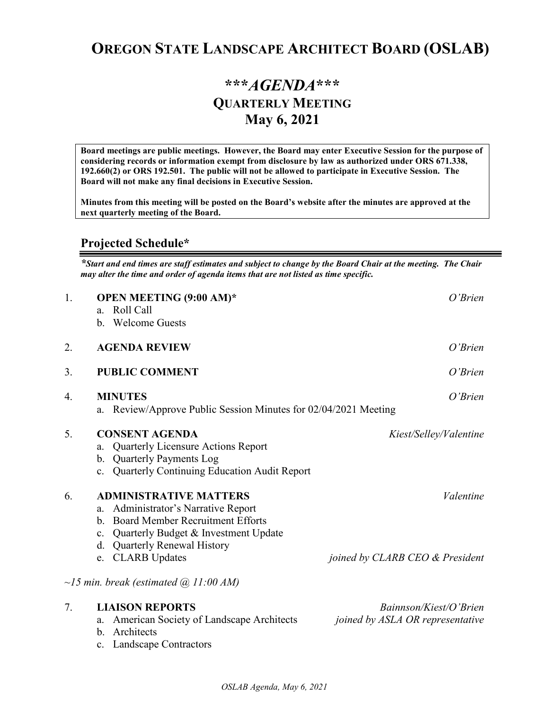# **OREGON STATE LANDSCAPE ARCHITECT BOARD (OSLAB)**

# **\*\*\****AGENDA***\*\*\* QUARTERLY MEETING May 6, 2021**

**Board meetings are public meetings. However, the Board may enter Executive Session for the purpose of considering records or information exempt from disclosure by law as authorized under ORS 671.338, 192.660(2) or ORS 192.501. The public will not be allowed to participate in Executive Session. The Board will not make any final decisions in Executive Session.** 

**Minutes from this meeting will be posted on the Board's website after the minutes are approved at the next quarterly meeting of the Board.**

### **Projected Schedule\***

*\*Start and end times are staff estimates and subject to change by the Board Chair at the meeting. The Chair may alter the time and order of agenda items that are not listed as time specific.* 

| 1. | <b>OPEN MEETING (9:00 AM)*</b><br>Roll Call<br>a.<br>b. Welcome Guests                                                                                                                                                                        | $O'$ <i>Brien</i>                                          |
|----|-----------------------------------------------------------------------------------------------------------------------------------------------------------------------------------------------------------------------------------------------|------------------------------------------------------------|
| 2. | <b>AGENDA REVIEW</b>                                                                                                                                                                                                                          | O'Brien                                                    |
| 3. | <b>PUBLIC COMMENT</b>                                                                                                                                                                                                                         | O'Brien                                                    |
| 4. | <b>MINUTES</b><br>Review/Approve Public Session Minutes for 02/04/2021 Meeting<br>a.                                                                                                                                                          | O'Brien                                                    |
| 5. | <b>CONSENT AGENDA</b><br>Quarterly Licensure Actions Report<br>a.<br><b>Quarterly Payments Log</b><br>b.<br><b>Quarterly Continuing Education Audit Report</b><br>c.                                                                          | Kiest/Selley/Valentine                                     |
| 6. | <b>ADMINISTRATIVE MATTERS</b><br>Administrator's Narrative Report<br>a.<br><b>Board Member Recruitment Efforts</b><br>$h_{\cdot}$<br>Quarterly Budget & Investment Update<br>c.<br><b>Quarterly Renewal History</b><br>d.<br>e. CLARB Updates | Valentine<br>joined by CLARB CEO & President               |
|    | $\sim$ 15 min. break (estimated $\omega$ 11:00 AM)                                                                                                                                                                                            |                                                            |
| 7. | <b>LIAISON REPORTS</b><br>American Society of Landscape Architects<br>a.<br>Architects<br>$\mathbf{b}$ .<br><b>Landscape Contractors</b><br>c.                                                                                                | Bainnson/Kiest/O'Brien<br>joined by ASLA OR representative |